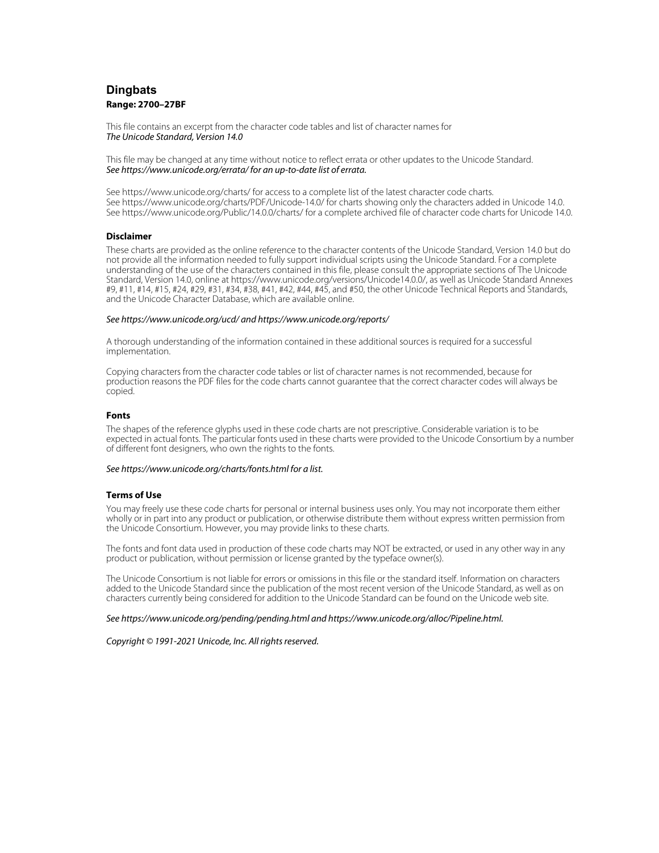# **Dingbats Range: 2700–27BF**

This file contains an excerpt from the character code tables and list of character names for The Unicode Standard, Version 14.0

This file may be changed at any time without notice to reflect errata or other updates to the Unicode Standard. See https://www.unicode.org/errata/ for an up-to-date list of errata.

See https://www.unicode.org/charts/ for access to a complete list of the latest character code charts. See https://www.unicode.org/charts/PDF/Unicode-14.0/ for charts showing only the characters added in Unicode 14.0. See https://www.unicode.org/Public/14.0.0/charts/ for a complete archived file of character code charts for Unicode 14.0.

### **Disclaimer**

These charts are provided as the online reference to the character contents of the Unicode Standard, Version 14.0 but do not provide all the information needed to fully support individual scripts using the Unicode Standard. For a complete understanding of the use of the characters contained in this file, please consult the appropriate sections of The Unicode Standard, Version 14.0, online at https://www.unicode.org/versions/Unicode14.0.0/, as well as Unicode Standard Annexes #9, #11, #14, #15, #24, #29, #31, #34, #38, #41, #42, #44, #45, and #50, the other Unicode Technical Reports and Standards, and the Unicode Character Database, which are available online.

### See https://www.unicode.org/ucd/ and https://www.unicode.org/reports/

A thorough understanding of the information contained in these additional sources is required for a successful implementation.

Copying characters from the character code tables or list of character names is not recommended, because for production reasons the PDF files for the code charts cannot guarantee that the correct character codes will always be copied.

### **Fonts**

The shapes of the reference glyphs used in these code charts are not prescriptive. Considerable variation is to be expected in actual fonts. The particular fonts used in these charts were provided to the Unicode Consortium by a number of different font designers, who own the rights to the fonts.

### See https://www.unicode.org/charts/fonts.html for a list.

### **Terms of Use**

You may freely use these code charts for personal or internal business uses only. You may not incorporate them either wholly or in part into any product or publication, or otherwise distribute them without express written permission from the Unicode Consortium. However, you may provide links to these charts.

The fonts and font data used in production of these code charts may NOT be extracted, or used in any other way in any product or publication, without permission or license granted by the typeface owner(s).

The Unicode Consortium is not liable for errors or omissions in this file or the standard itself. Information on characters added to the Unicode Standard since the publication of the most recent version of the Unicode Standard, as well as on characters currently being considered for addition to the Unicode Standard can be found on the Unicode web site.

### See https://www.unicode.org/pending/pending.html and https://www.unicode.org/alloc/Pipeline.html.

Copyright © 1991-2021 Unicode, Inc. All rights reserved.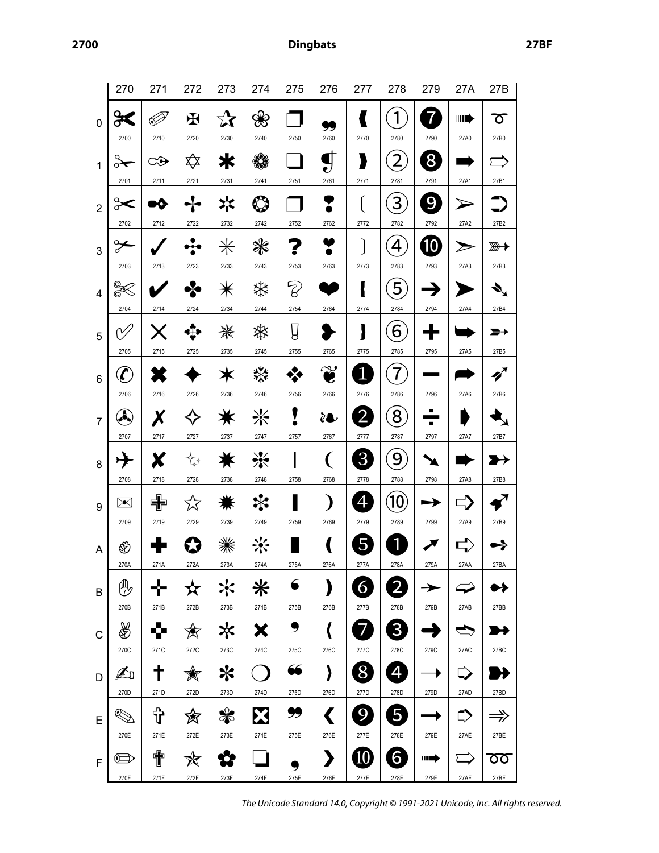**2700 Dingbats 27BF**

|                | 270                        | 271       | 272             | 273                  | 274       | 275       | 276                           | 277                     | 278            | 279               | 27A         | 27B           |
|----------------|----------------------------|-----------|-----------------|----------------------|-----------|-----------|-------------------------------|-------------------------|----------------|-------------------|-------------|---------------|
| $\mathbf 0$    | ႕ေ<br>2700                 | Þ<br>2710 | $\bf H$<br>2720 | $\mathbf{x}$<br>2730 | ❀<br>2740 | 2750      | 火<br>2760                     | 2770                    | 1<br>2780      | $\vec{v}$<br>2790 | HID<br>27A0 | Ծ<br>27B0     |
| 1              | o★                         | ⇔         | ╳               | ≭                    | ₩         |           | Π<br>ಲ                        | y                       | $\overline{2}$ | 8                 |             |               |
|                | 2701                       | 2711      | 2721            | 2731                 | 2741      | 2751      | 2761                          | 2771                    | 2781           | 2791              | 27A1        | 27B1          |
| $\overline{2}$ | ⊱⊱<br>2702                 | Ю<br>2712 | 2722            | 氺<br>2732            | ٧<br>2742 | 2752      | 2762                          | 2772                    | 3<br>2782      | 9<br>2792         | 27A2        | 27B2          |
| 3              | ⊱                          |           |                 | $\divideontimes$     | ₩         |           |                               |                         | 4              | 10                |             | <del>▒</del>  |
|                | 2703                       | 2713      | 2723            | 2733                 | 2743      | 2753      | 2763                          | 2773                    | 2783           | 2793              | 27A3        | 27B3          |
| $\overline{4}$ | Q                          |           | •⊱              |                      | ఘ         | Z         |                               | ł                       | 5              |                   |             |               |
|                | 2704                       | 2714      | 2724            | 2734                 | 2744      | 2754      | 2764                          | 2774                    | 2784           | 2794              | 27A4        | 27B4          |
| 5              | 2705                       | 2715      | 2725            | ₩<br>2735            | ☀<br>2745 | Ų<br>2755 | 2765                          | }<br>2775               | 6<br>2785      | 2795              | 27A5        | 27B5          |
| 6              | $\boldsymbol{\mathcal{L}}$ |           |                 | Ж                    | ₩         |           | وی<br>e                       | 1                       |                |                   |             |               |
|                | 2706                       | 2716      | 2726            | 2736                 | 2746      | 2756      | 2766                          | 2776                    | 2786           | 2796              | 27A6        | 27B6          |
| $\overline{7}$ | Â                          | Χ         |                 |                      | ⋇         | ▼         | ₹                             | $2^{\degree}$           | 8              |                   |             |               |
|                | 2707                       | 2717      | 2727            | 2737                 | 2747      | 2757      | 2767                          | 2777                    | 2787           | 2797              | 27A7        | 27B7          |
| 8              | 丹                          | X         | ⇅               |                      | ☀         |           | (                             | 3 <sup>2</sup>          | 9              |                   |             |               |
|                | 2708                       | 2718      | 2728            | 2738                 | 2748      | 2758      | 2768                          | 2778                    | 2788           | 2798              | 27A8        | 27B8          |
| 9              | $\Join$                    | 中         | 饮               |                      | ⋇         |           |                               | 4                       | 10             |                   |             |               |
|                | 2709                       | 2719      | 2729            | 2739                 | 2749      | 2759      | 2769                          | 2779                    | 2789           | 2799              | 27A9        | 27B9          |
| A              | ⊛                          |           |                 |                      |           |           |                               | 5                       | 1              |                   |             |               |
|                | 270A                       | 271A      | 272A            | 273A                 | 274A      | 275A      | 276A                          | 277A                    | 278A           | 279A              | 27AA        | 27BA          |
| B              | ⊕                          |           | $\mathbf x$     | ☆                    | ⋇         | 6         | )                             | 6                       | $\overline{2}$ | $\rightarrow$     | ∽           | ▶▶            |
|                | 270B                       | 271B      | 272B            | 273B                 | 274B      | 275B      | 276B                          | 277B                    | 278B           | 279B              | 27AB        | 27BB          |
| $\mathsf{C}$   | ∰                          | Ŷ         | 贪               | ℀                    | Х         | 9         | $\langle$                     | 7                       | 3 <sup>2</sup> | £                 | S           |               |
|                | 270C                       | 271C      | 272C            | 273C                 | 274C      | 275C      | 276C                          | 277C                    | 278C           | 279C              | 27AC        | 27BC          |
| D              | Ł                          | ╈<br>271D | X<br>272D       | ⋇<br>273D            |           | 66        | }                             | ♦<br>277D               | 4              | ▶                 | ⇨           |               |
|                | 270D                       |           |                 |                      | 274D      | 275D      | 276D                          |                         | 278D           | 279D              | 27AD        | 27BD          |
| E              | ℭ                          | ზ         | 贪               | ₩                    | X         | 99        |                               | 9                       | 5              |                   | ⇨           | $\Rightarrow$ |
| F              | 270E<br>$\oplus$           | 271E<br>肀 | 272E<br>✬       | 273E                 | 274E      | 275E      | 276E<br>$\blacktriangleright$ | 277E<br>$\overline{10}$ | 278E<br>6      | 279E<br>┉⇒        | 27AE        | 27BE<br>ठ०    |
|                | 270F                       | 271F      | 272F            | 273F                 | 274F      | 275F      | 276F                          | 277F                    | 278F           | 279F              | 27AF        | 27BF          |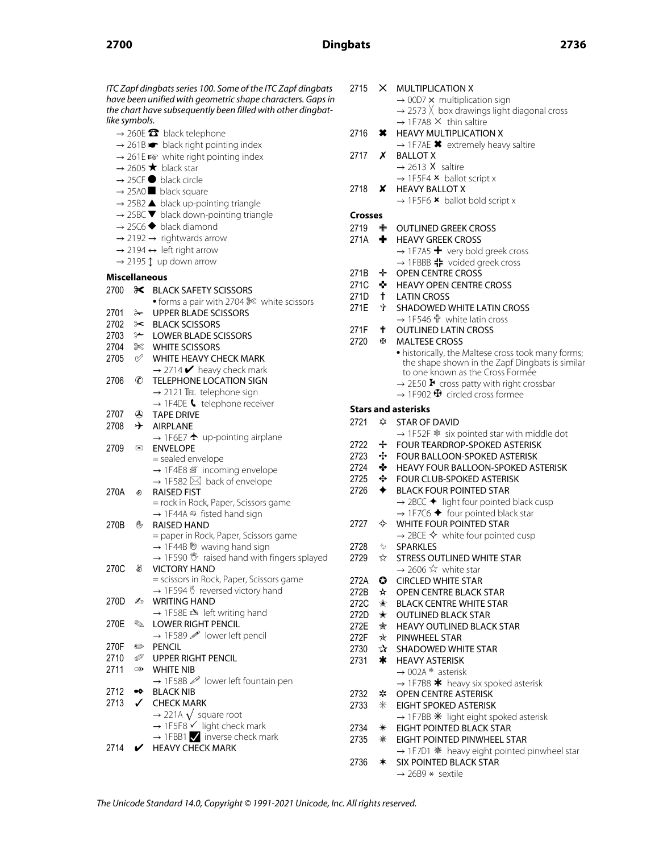## **2700 Dingbats 2736**

ITC Zapf dingbats series 100. Some of the ITC Zapf dingbats have been unified with geometric shape characters. Gaps in the chart have subsequently been filled with other dingbatlike symbols.  $\rightarrow$  260E  $\rightarrow$  black telephone  $\rightarrow$  261B  $\rightarrow$  black right pointing index  $\rightarrow$  261E  $\approx$  white right pointing index  $\rightarrow$  2605  $\star$  black star  $\rightarrow$  25CF  $\bullet$  black circle  $\rightarrow$  25A0 **D** black square  $\rightarrow$  25B2  $\blacktriangle$  black up-pointing triangle  $\rightarrow$  25BC  $\blacktriangledown$  black down-pointing triangle  $\rightarrow$  25C6  $\blacklozenge$  black diamond  $\rightarrow$  2192  $\rightarrow$  rightwards arrow  $\rightarrow$  2194  $\leftrightarrow$  left right arrow  $\rightarrow$  2195  $\updownarrow$  up down arrow **Miscellaneous** 2700 **X** BLACK SAFETY SCISSORS • forms a pair with 2704  $\%$  white scissors 2701 & UPPER BLADE SCISSORS 2702 ✂ BLACK SCISSORS 2703 <del></del> ≻ LOWER BLADE SCISSORS 2704 ✄ WHITE SCISSORS 2705 ✅ WHITE HEAVY CHECK MARK  $\rightarrow$  2714  $\blacktriangleright$  heavy check mark 2706 ✆ TELEPHONE LOCATION SIGN  $\rightarrow$  2121 TEL telephone sign  $\rightarrow$  1F4DE  $\bullet$  telephone receiver 2707 ✇ TAPE DRIVE 2708  $\rightarrow$  AIRPLANE  $\rightarrow$  1F6E7  $\rightarrow$  up-pointing airplane 2709 **⊠** ENVELOPE = sealed envelope → 1F4E8  $\#$  incoming envelope  $\rightarrow$  1F582  $\boxtimes$  back of envelope 270A ✊ RAISED FIST = rock in Rock, Paper, Scissors game  $\rightarrow$  1F44A  $\oplus$  fisted hand sign 270B ✋ RAISED HAND = paper in Rock, Paper, Scissors game  $\rightarrow$  1F44B  $\%$  waving hand sign  $\rightarrow$  1F590  $\%$  raised hand with fingers splayed 270C ✌ VICTORY HAND = scissors in Rock, Paper, Scissors game  $\rightarrow$  1F594  $\%$  reversed victory hand 270D **Z** WRITING HAND  $\rightarrow$  1F58E  $\approx$  left writing hand 270E ✎ LOWER RIGHT PENCIL  $\rightarrow$  1F589  $\mathscr{P}$  lower left pencil 270F ✏ PENCIL 2710 *S* UPPER RIGHT PENCIL 2711 **☞ WHITE NIB** → 1F58B 2 lower left fountain pen 2712 <sup>o</sup> BLACK NIB 2713 ✓ CHECK MARK  $\rightarrow$  221A  $\sqrt{\ }$  square root  $\rightarrow$  1F5F8  $\checkmark$  light check mark  $\rightarrow$  1FBB1  $\blacktriangledown$  inverse check mark 2714 **V** HEAVY CHECK MARK

| 2715                | $\times$    | <b>MULTIPLICATION X</b><br>$\rightarrow$ 00D7 $\times$ multiplication sign                                                      |
|---------------------|-------------|---------------------------------------------------------------------------------------------------------------------------------|
|                     |             | $\rightarrow$ 2573 $\times$ box drawings light diagonal cross                                                                   |
|                     |             | $\rightarrow$ 1F7A8 $\times$ thin saltire                                                                                       |
| 2716                | ×           | <b>HEAVY MULTIPLICATION X</b>                                                                                                   |
|                     |             | $\rightarrow$ 1F7AE $*$ extremely heavy saltire                                                                                 |
| 2717                | x           | <b>BALLOT X</b>                                                                                                                 |
|                     |             | $\rightarrow$ 2613 X saltire                                                                                                    |
| 2718                | x.          | $\rightarrow$ 1F5F4 $\times$ ballot script x<br><b>HEAVY BALLOT X</b>                                                           |
|                     |             | $\rightarrow$ 1F5F6 $\star$ ballot bold script x                                                                                |
| <b>Crosses</b>      |             |                                                                                                                                 |
| 2719                | ф           | <b>OUTLINED GREEK CROSS</b>                                                                                                     |
| 271A + <del>∎</del> |             | <b>HEAVY GREEK CROSS</b>                                                                                                        |
|                     |             | $\rightarrow$ 1F7A5 $+$ very bold greek cross                                                                                   |
|                     |             | → 1FBBB - voided greek cross                                                                                                    |
| 271B -              | ÷           | <b>OPEN CENTRE CROSS</b>                                                                                                        |
| 271C                | - 95.       | <b>HEAVY OPEN CENTRE CROSS</b>                                                                                                  |
| 271D                | $^+$        | <b>LATIN CROSS</b>                                                                                                              |
| 271E                | ⇑           | <b>SHADOWED WHITE LATIN CROSS</b>                                                                                               |
|                     |             | → 1F546 ਹੈ white latin cross                                                                                                    |
| 271F                | ₩           | <b>OUTHNED LATIN CROSS</b><br><b>MAI TESE CROSS</b>                                                                             |
| 2720                | Æ           |                                                                                                                                 |
|                     |             | • historically, the Maltese cross took many forms;<br>the shape shown in the Zapf Dingbats is similar                           |
|                     |             | to one known as the Cross Formée                                                                                                |
|                     |             | $\rightarrow$ 2E50 $\blacktriangleright$ cross patty with right crossbar                                                        |
|                     |             | $\rightarrow$ 1F902 $\oplus$ circled cross formee                                                                               |
|                     |             | <b>Stars and asterisks</b>                                                                                                      |
| 2721                | ✿           | <b>STAR OF DAVID</b>                                                                                                            |
|                     |             |                                                                                                                                 |
|                     |             | $\rightarrow$ 1F52F $*$ six pointed star with middle dot                                                                        |
| 2722                | ÷           | <b>FOUR TEARDROP-SPOKED ASTERISK</b>                                                                                            |
| 2723                | ÷           | <b>FOUR BALLOON-SPOKED ASTERISK</b>                                                                                             |
| 2724                | ♣           | <b>HEAVY FOUR BALLOON-SPOKED ASTERISK</b>                                                                                       |
| 2725                | ⊕           | <b>FOUR CLUB-SPOKED ASTERISK</b>                                                                                                |
| 2726                | ✦           | <b>BLACK FOUR POINTED STAR</b>                                                                                                  |
|                     |             | $\rightarrow$ 2BCC $\blacklozenge$ light four pointed black cusp<br>$\rightarrow$ 1F7C6 $\blacklozenge$ four pointed black star |
| 2727                | ✧           | <b>WHITE FOUR POINTED STAR</b>                                                                                                  |
|                     |             | $\rightarrow$ 2BCE $\diamondsuit$ white four pointed cusp                                                                       |
| 2728                | ❖           | <b>SPARKLES</b>                                                                                                                 |
| 2729                | ☆           | <b>STRESS OUTLINED WHITE STAR</b>                                                                                               |
|                     |             | $\rightarrow$ 2606 $\overleftrightarrow{x}$ white star                                                                          |
| 272A                | 0           | <b>CIRCLED WHITE STAR</b>                                                                                                       |
| 272B                | $\star$     | OPEN CENTRE BLACK STAR                                                                                                          |
| 272C                | ☆           | <b>BLACK CENTRE WHITE STAR</b>                                                                                                  |
| 272D ★              |             | <b>OUTLINED BLACK STAR</b><br><b>HEAVY OUTLINED BLACK STAR</b>                                                                  |
| 272E 肏              |             | PINWHEEL STAR                                                                                                                   |
| 272F ★<br>2730      |             | <b>☆ SHADOWED WHITE STAR</b>                                                                                                    |
| 2731                | $\ast$      | <b>HEAVY ASTERISK</b>                                                                                                           |
|                     |             | $\rightarrow$ 002A * asterisk                                                                                                   |
|                     |             | $\rightarrow$ 1F7B8 * heavy six spoked asterisk                                                                                 |
| 2732                | *           | OPEN CENTRE ASTERISK                                                                                                            |
| 2733                | $\ast$      | <b>EIGHT SPOKED ASTERISK</b>                                                                                                    |
|                     |             | $\rightarrow$ 1F7BB $*$ light eight spoked asterisk                                                                             |
| 2734                | $\ast$<br>₩ | <b>EIGHT POINTED BLACK STAR</b>                                                                                                 |
| 2735                |             | <b>EIGHT POINTED PINWHEEL STAR</b>                                                                                              |
| 2736                | ∗           | → 1F7D1 * heavy eight pointed pinwheel star<br>SIX POINTED BLACK STAR<br>$\rightarrow$ 26B9 $*$ sextile                         |

The Unicode Standard 14.0, Copyright © 1991-2021 Unicode, Inc. All rights reserved.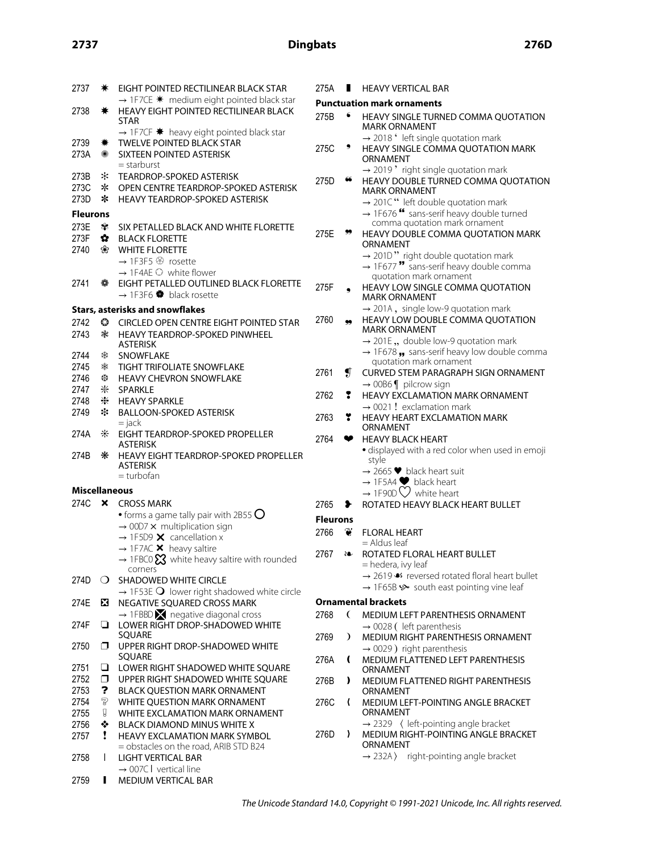# **2737 Dingbats 276D**

| 2737                 | ☀            | EIGHT POINTED RECTILINEAR BLACK STAR<br>→ 1F7CE * medium eight pointed black star  | $\overline{2}$      |
|----------------------|--------------|------------------------------------------------------------------------------------|---------------------|
| 2738                 | ☀            | HEAVY EIGHT POINTED RECTILINEAR BLACK<br>STAR                                      | P<br>$\overline{2}$ |
|                      |              | $\rightarrow$ 1F7CF $*$ heavy eight pointed black star                             |                     |
| 2739<br>273A         | ₩<br>☀       | <b>TWELVE POINTED BLACK STAR</b><br>SIXTEEN POINTED ASTERISK                       | $\overline{2}$      |
|                      |              | = starburst                                                                        |                     |
| 273B                 | ∗            | <b>TEARDROP-SPOKED ASTERISK</b>                                                    | $\overline{2}$      |
| 273C                 | ∗            | OPEN CENTRE TEARDROP-SPOKED ASTERISK                                               |                     |
| 273D                 | ∗            | <b>HEAVY TEARDROP-SPOKED ASTERISK</b>                                              |                     |
| <b>Fleurons</b>      |              |                                                                                    |                     |
| 273E                 | ₩            | SIX PETALLED BLACK AND WHITE FLORETTE                                              |                     |
| 273F                 | ✿.           | <b>BLACK FLORETTE</b>                                                              | 2.                  |
| 2740                 | ❀            | <b>WHITE FLORETTE</b>                                                              |                     |
|                      |              | → 1F3F5 <sup>®</sup> rosette                                                       |                     |
| 2741                 | ✿            | $\rightarrow$ 1F4AE $\odot$ white flower<br>EIGHT PETALLED OUTLINED BLACK FLORETTE |                     |
|                      |              | → 1F3F6 black rosette                                                              | $\overline{2}$      |
|                      |              | <b>Stars, asterisks and snowflakes</b>                                             |                     |
| 2742                 |              |                                                                                    | $\overline{2}$      |
| 2743                 | ⊙<br>☀       | CIRCLED OPEN CENTRE EIGHT POINTED STAR<br>HEAVY TEARDROP-SPOKED PINWHEEL           |                     |
|                      |              | <b>ASTERISK</b>                                                                    |                     |
| 2744                 | ఘ            | <b>SNOWFLAKE</b>                                                                   |                     |
| 2745                 | ☀            | <b>TIGHT TRIFOLIATE SNOWFLAKE</b>                                                  |                     |
| 2746                 | ₩            | <b>HEAVY CHEVRON SNOWFLAKE</b>                                                     | $\overline{2}$      |
| 2747                 | ⋇            | <b>SPARKLE</b>                                                                     |                     |
| 2748                 | ⋇            | <b>HEAVY SPARKLE</b>                                                               | $\overline{2}$      |
| 2749                 | *            | <b>BALLOON-SPOKED ASTERISK</b>                                                     |                     |
|                      |              | $=$ jack                                                                           | $\overline{2}$      |
| 274A                 | ⋇            | EIGHT TEARDROP-SPOKED PROPELLER<br><b>ASTERISK</b>                                 | $\overline{2}$      |
| 274B                 | ⋇            | HEAVY EIGHT TEARDROP-SPOKED PROPELLER                                              |                     |
|                      |              | <b>ASTERISK</b><br>$=$ turbofan                                                    |                     |
| <b>Miscellaneous</b> |              |                                                                                    |                     |
| 274C                 |              |                                                                                    |                     |
|                      | $\mathbf{x}$ | <b>CROSS MARK</b><br>$\bullet$ forms a game tally pair with 2B55 $\bigcirc$        | $\overline{2}$      |
|                      |              | $\rightarrow$ 00D7 $\times$ multiplication sign                                    | F                   |
|                      |              | $\rightarrow$ 1F5D9 $\times$ cancellation x                                        | $\overline{2}$      |
|                      |              | $\rightarrow$ 1F7AC X heavy saltire                                                |                     |
|                      |              | $\rightarrow$ 1FBC0 $\boxtimes$ white heavy saltire with rounded                   | $\overline{2}$      |
| 274D                 | ◯            | corners<br>SHADOWED WHITE CIRCLE                                                   |                     |
|                      |              | $\rightarrow$ 1F53E $\bigcirc$ lower right shadowed white circle                   |                     |
| 274E                 | x            | NEGATIVE SQUARED CROSS MARK                                                        | О                   |
|                      |              | $\rightarrow$ 1FBBD $\times$ negative diagonal cross                               | $\overline{2}$      |
| 274F                 | ❏            | LOWER RIGHT DROP-SHADOWED WHITE                                                    |                     |
|                      |              | SOUARE                                                                             | $\overline{2}$      |
| 2750                 |              |                                                                                    |                     |
|                      | ⊓            | UPPER RIGHT DROP-SHADOWED WHITE                                                    |                     |
|                      | ❏            | SQUARE                                                                             | $\overline{2}$      |
| 2751<br>2752         | $\Box$       | LOWER RIGHT SHADOWED WHITE SQUARE                                                  |                     |
| 2753                 | ?            | UPPER RIGHT SHADOWED WHITE SQUARE<br><b>BLACK QUESTION MARK ORNAMENT</b>           | $\overline{2}$      |
| 2754                 | Þ            | WHITE QUESTION MARK ORNAMENT                                                       | $\overline{2}$      |
| 2755                 | g            | WHITE EXCLAMATION MARK ORNAMENT                                                    |                     |
| 2756                 | ❖            | <b>BLACK DIAMOND MINUS WHITE X</b>                                                 |                     |
| 2757                 | Ţ            | <b>HEAVY EXCLAMATION MARK SYMBOL</b>                                               | $\overline{2}$      |
|                      |              | = obstacles on the road, ARIB STD B24                                              |                     |
| 2758                 | I            | <b>LIGHT VERTICAL BAR</b>                                                          |                     |
| 2759                 | ı            | $\rightarrow$ 007C I vertical line<br>MEDIUM VERTICAL BAR                          |                     |

| 275A            |           | <b>HEAVY VERTICAL BAR</b>                                                                                                               |
|-----------------|-----------|-----------------------------------------------------------------------------------------------------------------------------------------|
|                 |           | <b>Punctuation mark ornaments</b>                                                                                                       |
| 275B            | 6         | <b>HEAVY SINGLE TURNED COMMA OUOTATION</b><br>MARK ORNAMENT                                                                             |
|                 |           | → 2018 'left single quotation mark                                                                                                      |
| 275C            | ,         | HEAVY SINGLE COMMA QUOTATION MARK<br>ORNAMENT                                                                                           |
| 275D            | 66        | $\rightarrow$ 2019 $^{\circ}$ right single quotation mark<br>HEAVY DOUBLE TURNED COMMA QUOTATION<br><b>MARK ORNAMENT</b>                |
|                 |           | $\rightarrow$ 201C" left double quotation mark<br>$\rightarrow$ 1F676 " sans-serif heavy double turned<br>comma quotation mark ornament |
| 275E            |           | HEAVY DOUBLE COMMA QUOTATION MARK<br>ORNAMENT<br>$\rightarrow$ 2010" right double quotation mark                                        |
|                 |           | → 1F677 " sans-serif heavy double comma<br>quotation mark ornament                                                                      |
| 275F            |           | <b>HEAVY LOW SINGLE COMMA QUOTATION</b><br>MARK ORNAMENT                                                                                |
| 2760            |           | $\rightarrow$ 201A, single low-9 quotation mark<br>HEAVY LOW DOUBLE COMMA QUOTATION<br><b>MARK ORNAMENT</b>                             |
|                 |           | $\rightarrow$ 201E, double low-9 quotation mark                                                                                         |
|                 |           | $\rightarrow$ 1F678 , sans-serif heavy low double comma<br>quotation mark ornament                                                      |
| 2761            | Ţ         | <b>CURVED STEM PARAGRAPH SIGN ORNAMENT</b>                                                                                              |
| 2762            | ❣         | $\rightarrow$ 00B6 $\parallel$ pilcrow sign<br><b>HEAVY EXCLAMATION MARK ORNAMENT</b>                                                   |
|                 |           | $\rightarrow$ 0021 ! exclamation mark                                                                                                   |
| 2763            | T         | <b>HEAVY HEART EXCLAMATION MARK</b><br>ORNAMENT                                                                                         |
| 2764            | v         | <b>HEAVY BLACK HEART</b>                                                                                                                |
|                 |           | · displayed with a red color when used in emoji<br>style                                                                                |
|                 |           | $\rightarrow$ 2665 $\blacktriangleright$ black heart suit<br>$\rightarrow$ 1F5A4 $\blacktriangleright$ black heart                      |
|                 |           | $\rightarrow$ 1F90D $\heartsuit$ white heart                                                                                            |
| 2765            |           | ROTATED HEAVY BLACK HEART BULLET                                                                                                        |
| <b>Fleurons</b> |           |                                                                                                                                         |
| 2766            | Ť         | <b>FLORAL HEART</b>                                                                                                                     |
|                 |           | $=$ Aldus leaf                                                                                                                          |
| 2767            | èo        | ROTATED FLORAL HEART BULLET<br>= hedera, ivy leaf                                                                                       |
|                 |           | $\rightarrow$ 2619 $\bullet$ reversed rotated floral heart bullet                                                                       |
|                 |           | $\rightarrow$ 1F65B $\rightarrow$ south east pointing vine leaf                                                                         |
|                 |           | <b>Ornamental brackets</b>                                                                                                              |
| 2768            | €         | <b>MEDIUM LEFT PARENTHESIS ORNAMENT</b><br>$\rightarrow$ 0028 (left parenthesis                                                         |
| 2769            | $\lambda$ | MEDIUM RIGHT PARENTHESIS ORNAMENT<br>$\rightarrow$ 0029) right parenthesis                                                              |
| 276A            | C         | <b>MEDIUM FLATTENED LEFT PARENTHESIS</b><br>ORNAMENT                                                                                    |
| 276B            | ,         | <b>MEDIUM FLATTENED RIGHT PARENTHESIS</b><br>ORNAMENT                                                                                   |
| 276C            | €         | MEDIUM LEFT-POINTING ANGLE BRACKET<br>ORNAMENT                                                                                          |
|                 |           | $\rightarrow$ 2329 $\langle$ left-pointing angle bracket                                                                                |

276D **G** MEDIUM RIGHT-POINTING ANGLE BRACKET ORNAMENT

 $\rightarrow$  232A  $\rangle$  right-pointing angle bracket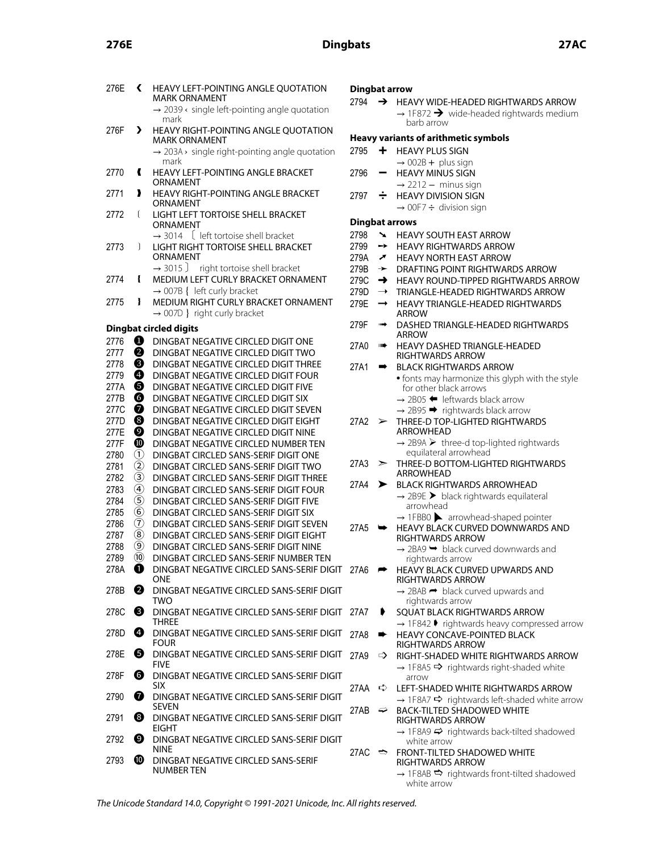## **276E Dingbats 27AC**

| 276E | ∢                                    | HEAVY LEFT-POINTING ANGLE QUOTATION<br>MARK ORNAMENT                            | <b>Dingbat</b><br>2794 |                          |
|------|--------------------------------------|---------------------------------------------------------------------------------|------------------------|--------------------------|
|      |                                      | $\rightarrow$ 2039 $\leftarrow$ single left-pointing angle quotation<br>mark    |                        |                          |
| 276F | ⋗                                    | HEAVY RIGHT-POINTING ANGLE QUOTATION<br><b>MARK ORNAMENT</b>                    | Heavy v                |                          |
|      |                                      | $\rightarrow$ 203A $\rightarrow$ single right-pointing angle quotation<br>mark  | 2795                   |                          |
| 2770 | Ł                                    | <b>HEAVY LEFT-POINTING ANGLE BRACKET</b><br>ORNAMENT                            | 2796                   |                          |
| 2771 | ,                                    | HEAVY RIGHT-POINTING ANGLE BRACKET<br>ORNAMENT                                  | 2797                   |                          |
| 2772 | ſ                                    | LIGHT LEFT TORTOISE SHELL BRACKET<br>ORNAMENT                                   | <b>Dingbat</b>         |                          |
|      |                                      | $\rightarrow$ 3014 [ left tortoise shell bracket                                | 2798                   | 、                        |
| 2773 | 1                                    | <b>LIGHT RIGHT TORTOISE SHELL BRACKET</b>                                       | 2799                   | ╾                        |
|      |                                      | ORNAMENT                                                                        | 279A                   | ╭                        |
|      |                                      | $\rightarrow$ 3015 J<br>right tortoise shell bracket                            | 279B                   | →                        |
| 2774 | ł                                    | MEDIUM LEFT CURLY BRACKET ORNAMENT                                              | 279C                   | ۳                        |
|      |                                      | $\rightarrow$ 007B { left curly bracket                                         | 279D                   | $\overline{\phantom{0}}$ |
| 2775 | ł                                    | MEDIUM RIGHT CURLY BRACKET ORNAMENT<br>$\rightarrow$ 007D } right curly bracket | 279E                   |                          |
|      |                                      |                                                                                 | 279F                   | ш                        |
|      |                                      | <b>Dingbat circled digits</b>                                                   |                        |                          |
| 2776 | ❶                                    | DINGBAT NEGATIVE CIRCLED DIGIT ONE                                              | 27A0                   | Ш                        |
| 2777 | 0                                    | DINGBAT NEGATIVE CIRCLED DIGIT TWO                                              |                        |                          |
| 2778 | ❸                                    | DINGBAT NEGATIVE CIRCLED DIGIT THREE                                            | 27A1                   |                          |
| 2779 | ❹                                    | DINGBAT NEGATIVE CIRCLED DIGIT FOUR                                             |                        |                          |
| 277A | ❺                                    | DINGBAT NEGATIVE CIRCLED DIGIT FIVE                                             |                        |                          |
| 277B | ❻                                    | DINGBAT NEGATIVE CIRCLED DIGIT SIX                                              |                        |                          |
| 277C | 0                                    | DINGBAT NEGATIVE CIRCLED DIGIT SEVEN                                            |                        |                          |
| 277D | ❸                                    | DINGBAT NEGATIVE CIRCLED DIGIT EIGHT                                            | 27A2                   | ⋝                        |
| 277E | ❷                                    | DINGBAT NEGATIVE CIRCLED DIGIT NINE                                             |                        |                          |
| 277F | ◍                                    | DINGBAT NEGATIVE CIRCLED NUMBER TEN                                             |                        |                          |
| 2780 | $^\copyright$                        | DINGBAT CIRCLED SANS-SERIF DIGIT ONE                                            |                        |                          |
| 2781 | $\circled{2}$                        | DINGBAT CIRCLED SANS-SERIF DIGIT TWO                                            | 27A3                   | ⋗                        |
| 2782 | ③                                    | DINGBAT CIRCLED SANS-SERIF DIGIT THREE                                          |                        |                          |
| 2783 | $\circledast$                        | DINGBAT CIRCLED SANS-SERIF DIGIT FOUR                                           | 27A4                   | >                        |
| 2784 | $\circledS$                          | DINGBAT CIRCLED SANS-SERIF DIGIT FIVE                                           |                        |                          |
| 2785 | $\circledast$                        | DINGBAT CIRCLED SANS-SERIF DIGIT SIX                                            |                        |                          |
|      | $\left( \widehat{\mathbf{7}}\right)$ |                                                                                 |                        |                          |
| 2786 |                                      | DINGBAT CIRCLED SANS-SERIF DIGIT SEVEN                                          | 27A5                   |                          |
| 2787 | $\circledR$                          | DINGBAT CIRCLED SANS-SERIF DIGIT EIGHT                                          |                        |                          |
| 2788 | $\circledcirc$                       | DINGBAT CIRCLED SANS-SERIF DIGIT NINE                                           |                        |                          |
| 2789 | $\circledR$                          | DINGBAT CIRCLED SANS-SERIF NUMBER TEN                                           |                        |                          |
| 278A | O                                    | DINGBAT NEGATIVE CIRCLED SANS-SERIF DIGIT<br>ONE                                | 27A6                   | ╒                        |
| 278B | 0                                    | DINGBAT NEGATIVE CIRCLED SANS-SERIF DIGIT<br>TWO                                |                        |                          |
| 278C | ❸                                    | DINGBAT NEGATIVE CIRCLED SANS-SERIF DIGIT<br><b>THREE</b>                       | 27A7                   | Г                        |
| 278D | Ø                                    | DINGBAT NEGATIVE CIRCLED SANS-SERIF DIGIT<br>FOUR                               | 27A8                   | ш                        |
| 278E | 6                                    | DINGBAT NEGATIVE CIRCLED SANS-SERIF DIGIT<br><b>FIVF</b>                        | 27A9                   | ц                        |
| 278F | 6                                    | DINGBAT NEGATIVE CIRCLED SANS-SERIF DIGIT<br><b>SIX</b>                         | 27AA                   | 5                        |
| 2790 | 0                                    | DINGBAT NEGATIVE CIRCLED SANS-SERIF DIGIT<br><b>SEVEN</b>                       | 27AB                   | 4                        |
| 2791 | ❸                                    | DINGBAT NEGATIVE CIRCLED SANS-SERIF DIGIT<br><b>EIGHT</b>                       |                        |                          |
| 2792 | ◙                                    | DINGBAT NEGATIVE CIRCLED SANS-SERIF DIGIT<br><b>NINE</b>                        | 27AC                   | ਵ                        |
| 2793 | ◍                                    | DINGBAT NEGATIVE CIRCLED SANS-SERIF<br>NUMBER TEN                               |                        |                          |

### **Dingbat arrow**

## → HEAVY WIDE-HEADED RIGHTWARDS ARROW

 $\rightarrow$  1F872  $\rightarrow$  wide-headed rightwards medium barb arrow

## *Hearrants* of arithmetic symbols

- **F** HEAVY PLUS SIGN
- $\rightarrow$  002B + plus sign - HEAVY MINUS SIGN
- $\rightarrow$  2212 minus sign  $\div$  HEAVY DIVISION SIGN
- $\rightarrow$  00F7  $\div$  division sign

## **t** arrows

- **X HEAVY SOUTH EAST ARROW**
- → HEAVY RIGHTWARDS ARROW
- **7** HEAVY NORTH EAST ARROW
- **> DRAFTING POINT RIGHTWARDS ARROW**
- ◆ HEAVY ROUND-TIPPED RIGHTWARDS ARROW
- → TRIANGLE-HEADED RIGHTWARDS ARROW
- → HEAVY TRIANGLE-HEADED RIGHTWARDS ARROW
- DASHED TRIANGLE-HEADED RIGHTWARDS ARROW
- **▶ HEAVY DASHED TRIANGLE-HEADED** RIGHTWARDS ARROW  $\blacktriangleright$  BLACK RIGHTWARDS ARROW

| 27 A I |   | BLACK RIGHTWARDS ARROW                                                                      |
|--------|---|---------------------------------------------------------------------------------------------|
|        |   | • fonts may harmonize this glyph with the style<br>for other black arrows                   |
|        |   | $\rightarrow$ 2B05 $\blacktriangleleft$ leftwards black arrow                               |
|        |   | $\rightarrow$ 2B95 $\rightarrow$ rightwards black arrow                                     |
|        |   | 27A2 > THREE-D TOP-LIGHTED RIGHTWARDS                                                       |
|        |   | ARROWHEAD                                                                                   |
|        |   | $\rightarrow$ 2B9A $\triangleright$ three-d top-lighted rightwards<br>equilateral arrowhead |
| 27A3   |   | $\geq$ THREE-D BOTTOM-LIGHTED RIGHTWARDS                                                    |
|        |   | ARROWHEAD                                                                                   |
| 27 A 4 | ➤ | BLACK RIGHTWARDS ARROWHEAD                                                                  |
|        |   | $\rightarrow$ 2RQF > hlack rightwards equilatoral                                           |

- $\rightarrow$  2B9E  $\blacktriangleright$  black rightwards equilateral arrowhead
- $\rightarrow$  1FBB0  $\blacktriangleright$  arrowhead-shaped pointer **▶ HEAVY BLACK CURVED DOWNWARDS AND**

RIGHTWARDS ARROW  $\rightarrow$  2BA9  $\rightarrow$  black curved downwards and rightwards arrow

- → HEAVY BLACK CURVED UPWARDS AND RIGHTWARDS ARROW
	- $\rightarrow$  2BAB  $\rightarrow$  black curved upwards and rightwards arrow
- 27A7 ➧ SQUAT BLACK RIGHTWARDS ARROW  $\rightarrow$  1F842  $\blacktriangleright$  rightwards heavy compressed arrow HEAVY CONCAVE-POINTED BLACK
- RIGHTWARDS ARROW > RIGHT-SHADED WHITE RIGHTWARDS ARROW  $\rightarrow$  1F8A5  $\rightarrow$  rightwards right-shaded white
- arrow  $\div$  LEFT-SHADED WHITE RIGHTWARDS ARROW
- $\rightarrow$  1F8A7  $\leftrightarrow$  rightwards left-shaded white arrow
- <sup>→</sup> BACK-TILTED SHADOWED WHITE RIGHTWARDS ARROW
	- $\rightarrow$  1F8A9  $\rightarrow$  rightwards back-tilted shadowed white arrow
- $\Rightarrow$  FRONT-TILTED SHADOWED WHITE RIGHTWARDS ARROW  $\rightarrow$  1F8AB  $\Rightarrow$  rightwards front-tilted shadowed white arrow

The Unicode Standard 14.0, Copyright © 1991-2021 Unicode, Inc. All rights reserved.